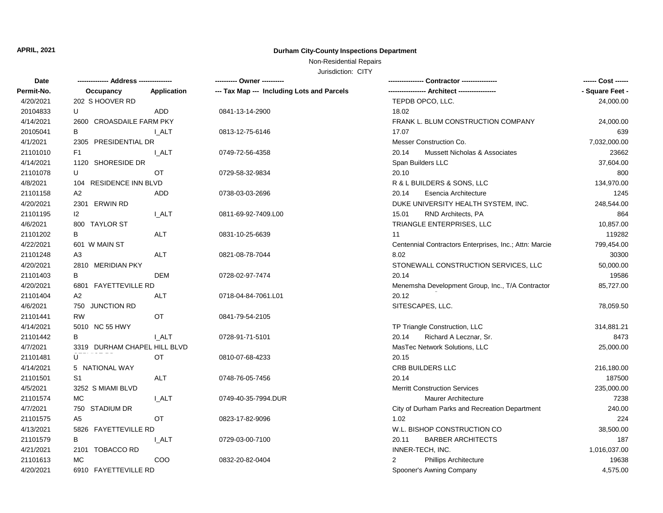## **APRIL, 2021 Durham City-County Inspections Department**

## Non-Residential Repairs

Jurisdiction: CITY

| Date       |                              |                    | ---------- Owner ----------                |                                                        | ------ Cost ------ |
|------------|------------------------------|--------------------|--------------------------------------------|--------------------------------------------------------|--------------------|
| Permit-No. | Occupancy                    | <b>Application</b> | --- Tax Map --- Including Lots and Parcels |                                                        | - Square Feet -    |
| 4/20/2021  | 202 S HOOVER RD              |                    |                                            | TEPDB OPCO, LLC.                                       | 24,000.00          |
| 20104833   | U                            | ADD                | 0841-13-14-2900                            | 18.02                                                  |                    |
| 4/14/2021  | 2600 CROASDAILE FARM PKY     |                    |                                            | FRANK L. BLUM CONSTRUCTION COMPANY                     | 24,000.00          |
| 20105041   | B                            | I ALT              | 0813-12-75-6146                            | 17.07                                                  | 639                |
| 4/1/2021   | 2305 PRESIDENTIAL DR         |                    |                                            | Messer Construction Co.                                | 7,032,000.00       |
| 21101010   | F <sub>1</sub>               | I ALT              | 0749-72-56-4358                            | 20.14<br><b>Mussett Nicholas &amp; Associates</b>      | 23662              |
| 4/14/2021  | 1120 SHORESIDE DR            |                    |                                            | Span Builders LLC                                      | 37,604.00          |
| 21101078   | U                            | OT                 | 0729-58-32-9834                            | 20.10                                                  | 800                |
| 4/8/2021   | 104 RESIDENCE INN BLVD       |                    |                                            | R & L BUILDERS & SONS, LLC                             | 134,970.00         |
| 21101158   | A <sub>2</sub>               | ADD                | 0738-03-03-2696                            | 20.14<br>Esencia Architecture                          | 1245               |
| 4/20/2021  | 2301 ERWIN RD                |                    |                                            | DUKE UNIVERSITY HEALTH SYSTEM, INC.                    | 248,544.00         |
| 21101195   | 12                           | <b>I_ALT</b>       | 0811-69-92-7409.L00                        | RND Architects, PA<br>15.01                            | 864                |
| 4/6/2021   | 800 TAYLOR ST                |                    |                                            | TRIANGLE ENTERPRISES, LLC                              | 10,857.00          |
| 21101202   | B                            | ALT                | 0831-10-25-6639                            | 11                                                     | 119282             |
| 4/22/2021  | 601 W MAIN ST                |                    |                                            | Centennial Contractors Enterprises, Inc.; Attn: Marcie | 799,454.00         |
| 21101248   | A3                           | ALT                | 0821-08-78-7044                            | 8.02                                                   | 30300              |
| 4/20/2021  | 2810 MERIDIAN PKY            |                    |                                            | STONEWALL CONSTRUCTION SERVICES, LLC                   | 50,000.00          |
| 21101403   | В                            | <b>DEM</b>         | 0728-02-97-7474                            | 20.14                                                  | 19586              |
| 4/20/2021  | 6801 FAYETTEVILLE RD         |                    |                                            | Menemsha Development Group, Inc., T/A Contractor       | 85,727.00          |
| 21101404   | A <sub>2</sub>               | <b>ALT</b>         | 0718-04-84-7061.L01                        | 20.12                                                  |                    |
| 4/6/2021   | 750 JUNCTION RD              |                    |                                            | SITESCAPES, LLC.                                       | 78,059.50          |
| 21101441   | <b>RW</b>                    | OT                 | 0841-79-54-2105                            |                                                        |                    |
| 4/14/2021  | 5010 NC 55 HWY               |                    |                                            | TP Triangle Construction, LLC                          | 314,881.21         |
| 21101442   | B                            | <b>I_ALT</b>       | 0728-91-71-5101                            | Richard A Lecznar, Sr.<br>20.14                        | 8473               |
| 4/7/2021   | 3319 DURHAM CHAPEL HILL BLVD |                    |                                            | MasTec Network Solutions, LLC                          | 25,000.00          |
| 21101481   | U                            | <b>OT</b>          | 0810-07-68-4233                            | 20.15                                                  |                    |
| 4/14/2021  | 5 NATIONAL WAY               |                    |                                            | CRB BUILDERS LLC                                       | 216,180.00         |
| 21101501   | S <sub>1</sub>               | <b>ALT</b>         | 0748-76-05-7456                            | 20.14                                                  | 187500             |
| 4/5/2021   | 3252 S MIAMI BLVD            |                    |                                            | <b>Merritt Construction Services</b>                   | 235,000.00         |
| 21101574   | <b>MC</b>                    | I ALT              | 0749-40-35-7994.DUR                        | Maurer Architecture                                    | 7238               |
| 4/7/2021   | 750 STADIUM DR               |                    |                                            | City of Durham Parks and Recreation Department         | 240.00             |
| 21101575   | A5                           | OT                 | 0823-17-82-9096                            | 1.02                                                   | 224                |
| 4/13/2021  | 5826 FAYETTEVILLE RD         |                    |                                            | W.L. BISHOP CONSTRUCTION CO                            | 38,500.00          |
| 21101579   | B                            | I ALT              | 0729-03-00-7100                            | <b>BARBER ARCHITECTS</b><br>20.11                      | 187                |
| 4/21/2021  | 2101 TOBACCO RD              |                    |                                            | INNER-TECH, INC.                                       | 1,016,037.00       |
| 21101613   | <b>MC</b>                    | <b>COO</b>         | 0832-20-82-0404                            | $\overline{2}$<br><b>Phillips Architecture</b>         | 19638              |
| 4/20/2021  | 6910 FAYETTEVILLE RD         |                    |                                            | Spooner's Awning Company                               | 4,575.00           |
|            |                              |                    |                                            |                                                        |                    |